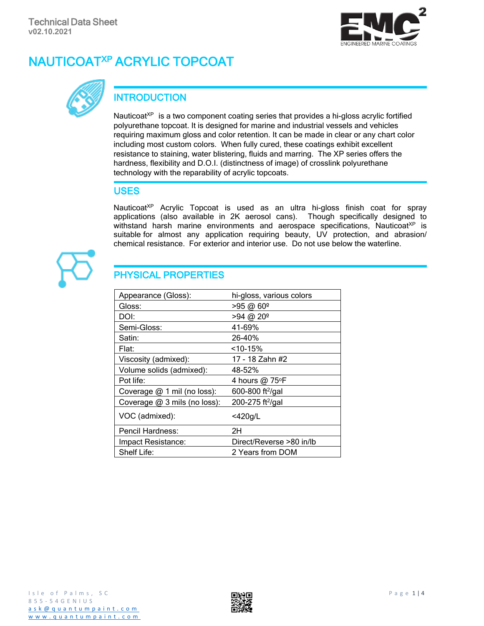# NAUTICOATXP ACRYLIC TOPCOAT





## **INTRODUCTION**

Nauticoat<sup> $XP$ </sup> is a two component coating series that provides a hi-gloss acrylic fortified polyurethane topcoat. It is designed for marine and industrial vessels and vehicles requiring maximum gloss and color retention. It can be made in clear or any chart color including most custom colors. When fully cured, these coatings exhibit excellent resistance to staining, water blistering, fluids and marring. The XP series offers the hardness, flexibility and D.O.I. (distinctness of image) of crosslink polyurethane technology with the reparability of acrylic topcoats.

#### USES

Nauticoat<sup>XP</sup> Acrylic Topcoat is used as an ultra hi-gloss finish coat for spray applications (also available in 2K aerosol cans). Though specifically designed to withstand harsh marine environments and aerospace specifications, Nauticoat $X^p$  is suitable for almost any application requiring beauty, UV protection, and abrasion/ chemical resistance. For exterior and interior use. Do not use below the waterline.



## PHYSICAL PROPERTIES

| Appearance (Gloss):          | hi-gloss, various colors     |
|------------------------------|------------------------------|
| Gloss:                       | $>95$ @ 60 <sup>o</sup>      |
| DOI:                         | $>94$ @ $20^{\circ}$         |
| Semi-Gloss:                  | 41-69%                       |
| Satin:                       | 26-40%                       |
| Flat:                        | $<$ 10-15%                   |
| Viscosity (admixed):         | 17 - 18 Zahn #2              |
| Volume solids (admixed):     | 48-52%                       |
| Pot life:                    | 4 hours @ 75°F               |
| Coverage @ 1 mil (no loss):  | 600-800 ft <sup>2</sup> /gal |
| Coverage @ 3 mils (no loss): | 200-275 ft <sup>2</sup> /gal |
| VOC (admixed):               | $<$ 420g/L                   |
| Pencil Hardness:             | 2H                           |
| Impact Resistance:           | Direct/Reverse >80 in/lb     |
| Shelf Life:                  | 2 Years from DOM             |

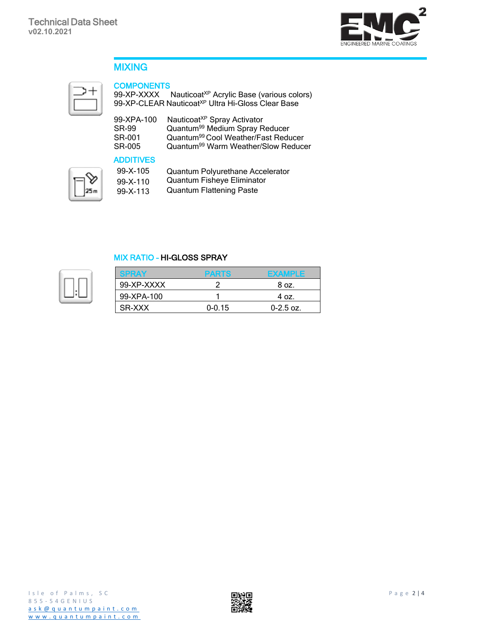

### MIXING



#### **COMPONENTS**

99-XP-XXXX 99-XP-CLEAR NauticoatXP Acrylic Base (various colors) Nauticoat<sup>XP</sup> Ultra Hi-Gloss Clear Base

| 99-XPA-100   | Nauticoat <sup>XP</sup> Spray Activator         |
|--------------|-------------------------------------------------|
| <b>SR-99</b> | Quantum <sup>99</sup> Medium Spray Reducer      |
| SR-001       | Quantum <sup>99</sup> Cool Weather/Fast Reducer |
| SR-005       | Quantum <sup>99</sup> Warm Weather/Slow Reducer |

#### ADDITIVES

| $99 - X - 105$ | Quantum Polyurethane Accelerator |
|----------------|----------------------------------|
| $99 - X - 110$ | Quantum Fisheye Eliminator       |
| $99 - X - 113$ | <b>Quantum Flattening Paste</b>  |

#### MIX RATIO – HI-GLOSS SPRAY

|            | PARTS      | <b>EXAMPLE</b> |
|------------|------------|----------------|
| 99-XP-XXXX |            | 8 oz.          |
| 99-XPA-100 |            | 4 oz.          |
| SR-XXX     | $0 - 0.15$ | $0 - 2.5$ oz.  |

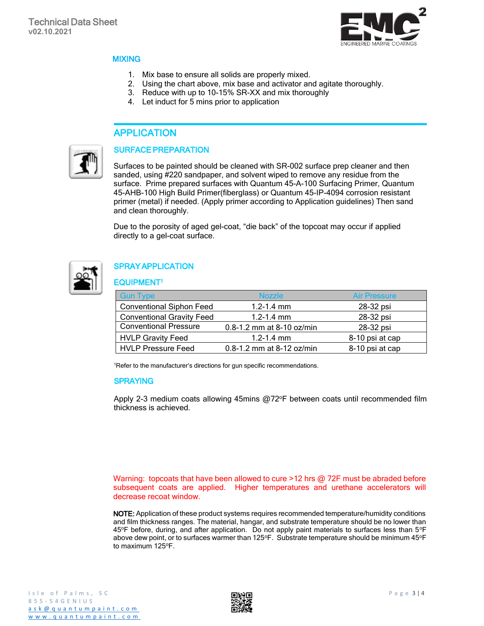

#### **MIXING**

- 1. Mix base to ensure all solids are properly mixed.
- 2. Using the chart above, mix base and activator and agitate thoroughly.
- 3. Reduce with up to 10-15% SR-XX and mix thoroughly
- 4. Let induct for 5 mins prior to application

#### APPLICATION



#### SURFACE PREPARATION

Surfaces to be painted should be cleaned with SR-002 surface prep cleaner and then sanded, using #220 sandpaper, and solvent wiped to remove any residue from the surface. Prime prepared surfaces with Quantum 45-A-100 Surfacing Primer, Quantum 45-AHB-100 High Build Primer(fiberglass) or Quantum 45-IP-4094 corrosion resistant primer (metal) if needed. (Apply primer according to Application guidelines) Then sand and clean thoroughly.

Due to the porosity of aged gel-coat, "die back" of the topcoat may occur if applied directly to a gel-coat surface.



#### **SPRAY APPLICATION**

#### EQUIPMENT<sup>1</sup>

| <b>Gun Type</b>                  | <b>Nozzle</b>                 | <b>Air Pressure</b> |
|----------------------------------|-------------------------------|---------------------|
| <b>Conventional Siphon Feed</b>  | $1.2 - 1.4$ mm                | 28-32 psi           |
| <b>Conventional Gravity Feed</b> | $1.2 - 1.4$ mm                | 28-32 psi           |
| <b>Conventional Pressure</b>     | $0.8 - 1.2$ mm at 8-10 oz/min | 28-32 psi           |
| <b>HVLP Gravity Feed</b>         | $1.2 - 1.4$ mm                | 8-10 psi at cap     |
| <b>HVLP Pressure Feed</b>        | 0.8-1.2 mm at 8-12 oz/min     | 8-10 psi at cap     |

<sup>1</sup>Refer to the manufacturer's directions for gun specific recommendations.

#### SPRAYING

Apply 2-3 medium coats allowing 45mins @72°F between coats until recommended film thickness is achieved.

Warning: topcoats that have been allowed to cure >12 hrs @ 72F must be abraded before subsequent coats are applied. Higher temperatures and urethane accelerators will decrease recoat window.

NOTE: Application of these product systems requires recommended temperature/humidity conditions and film thickness ranges. The material, hangar, and substrate temperature should be no lower than 45°F before, during, and after application. Do not apply paint materials to surfaces less than 5°F above dew point, or to surfaces warmer than 125°F. Substrate temperature should be minimum 45°F to maximum 125°F.